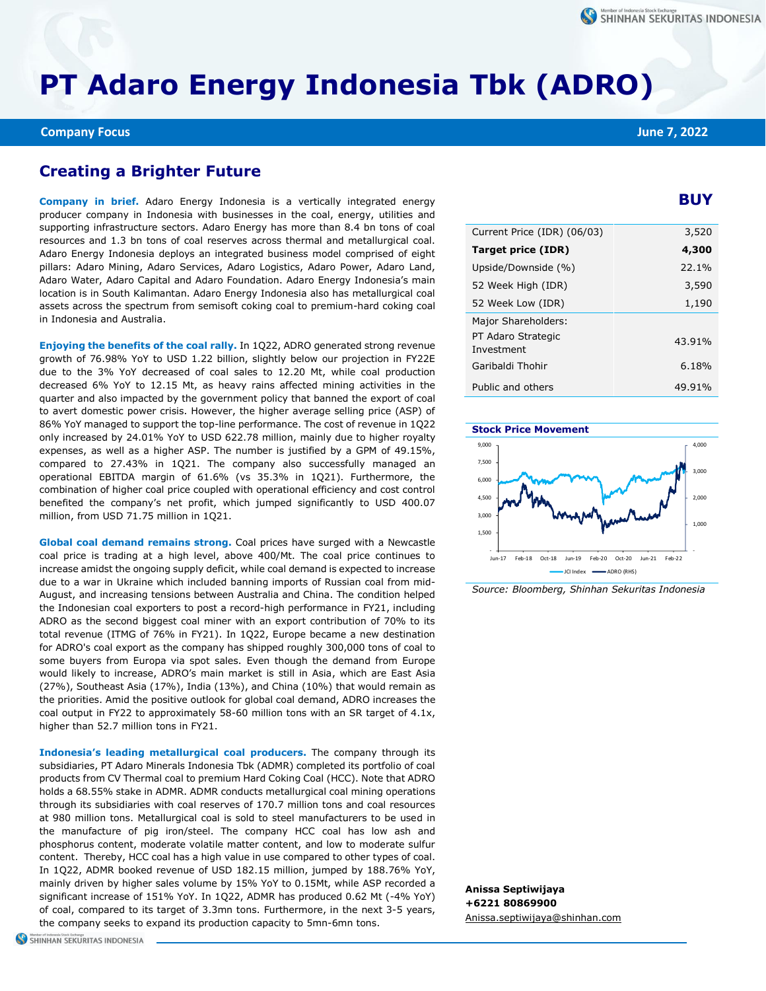# **PT Adaro Energy Indonesia Tbk (ADRO)**

## **Creating a Brighter Future**

**Company in brief.** Adaro Energy Indonesia is a vertically integrated energy producer company in Indonesia with businesses in the coal, energy, utilities and supporting infrastructure sectors. Adaro Energy has more than 8.4 bn tons of coal resources and 1.3 bn tons of coal reserves across thermal and metallurgical coal. Adaro Energy Indonesia deploys an integrated business model comprised of eight pillars: Adaro Mining, Adaro Services, Adaro Logistics, Adaro Power, Adaro Land, Adaro Water, Adaro Capital and Adaro Foundation. Adaro Energy Indonesia's main location is in South Kalimantan. Adaro Energy Indonesia also has metallurgical coal assets across the spectrum from semisoft coking coal to premium-hard coking coal in Indonesia and Australia.

**Enjoying the benefits of the coal rally.** In 1Q22, ADRO generated strong revenue growth of 76.98% YoY to USD 1.22 billion, slightly below our projection in FY22E due to the 3% YoY decreased of coal sales to 12.20 Mt, while coal production decreased 6% YoY to 12.15 Mt, as heavy rains affected mining activities in the quarter and also impacted by the government policy that banned the export of coal to avert domestic power crisis. However, the higher average selling price (ASP) of 86% YoY managed to support the top-line performance. The cost of revenue in 1Q22 only increased by 24.01% YoY to USD 622.78 million, mainly due to higher royalty expenses, as well as a higher ASP. The number is justified by a GPM of 49.15%, compared to 27.43% in 1Q21. The company also successfully managed an operational EBITDA margin of 61.6% (vs 35.3% in 1Q21). Furthermore, the combination of higher coal price coupled with operational efficiency and cost control benefited the company's net profit, which jumped significantly to USD 400.07 million, from USD 71.75 million in 1Q21.

**Global coal demand remains strong.** Coal prices have surged with a Newcastle coal price is trading at a high level, above 400/Mt. The coal price continues to increase amidst the ongoing supply deficit, while coal demand is expected to increase due to a war in Ukraine which included banning imports of Russian coal from mid-August, and increasing tensions between Australia and China. The condition helped the Indonesian coal exporters to post a record-high performance in FY21, including ADRO as the second biggest coal miner with an export contribution of 70% to its total revenue (ITMG of 76% in FY21). In 1Q22, Europe became a new destination for ADRO's coal export as the company has shipped roughly 300,000 tons of coal to some buyers from Europa via spot sales. Even though the demand from Europe would likely to increase, ADRO's main market is still in Asia, which are East Asia (27%), Southeast Asia (17%), India (13%), and China (10%) that would remain as the priorities. Amid the positive outlook for global coal demand, ADRO increases the coal output in FY22 to approximately 58-60 million tons with an SR target of 4.1x, higher than 52.7 million tons in FY21.

**Indonesia's leading metallurgical coal producers.** The company through its subsidiaries, PT Adaro Minerals Indonesia Tbk (ADMR) completed its portfolio of coal products from CV Thermal coal to premium Hard Coking Coal (HCC). Note that ADRO holds a 68.55% stake in ADMR. ADMR conducts metallurgical coal mining operations through its subsidiaries with coal reserves of 170.7 million tons and coal resources at 980 million tons. Metallurgical coal is sold to steel manufacturers to be used in the manufacture of pig iron/steel. The company HCC coal has low ash and phosphorus content, moderate volatile matter content, and low to moderate sulfur content. Thereby, HCC coal has a high value in use compared to other types of coal. In 1Q22, ADMR booked revenue of USD 182.15 million, jumped by 188.76% YoY, mainly driven by higher sales volume by 15% YoY to 0.15Mt, while ASP recorded a significant increase of 151% YoY. In 1Q22, ADMR has produced 0.62 Mt (-4% YoY) of coal, compared to its target of 3.3mn tons. Furthermore, in the next 3-5 years, the company seeks to expand its production capacity to 5mn-6mn tons.

### **BUY**

| Current Price (IDR) (06/03)      | 3,520  |
|----------------------------------|--------|
| Target price (IDR)               | 4,300  |
| Upside/Downside (%)              | 22.1%  |
| 52 Week High (IDR)               | 3,590  |
| 52 Week Low (IDR)                | 1,190  |
| Major Shareholders:              |        |
| PT Adaro Strategic<br>Investment | 43.91% |
| Garibaldi Thohir                 | 6.18%  |
| Public and others                | 49.91% |



*Source: Bloomberg, Shinhan Sekuritas Indonesia*

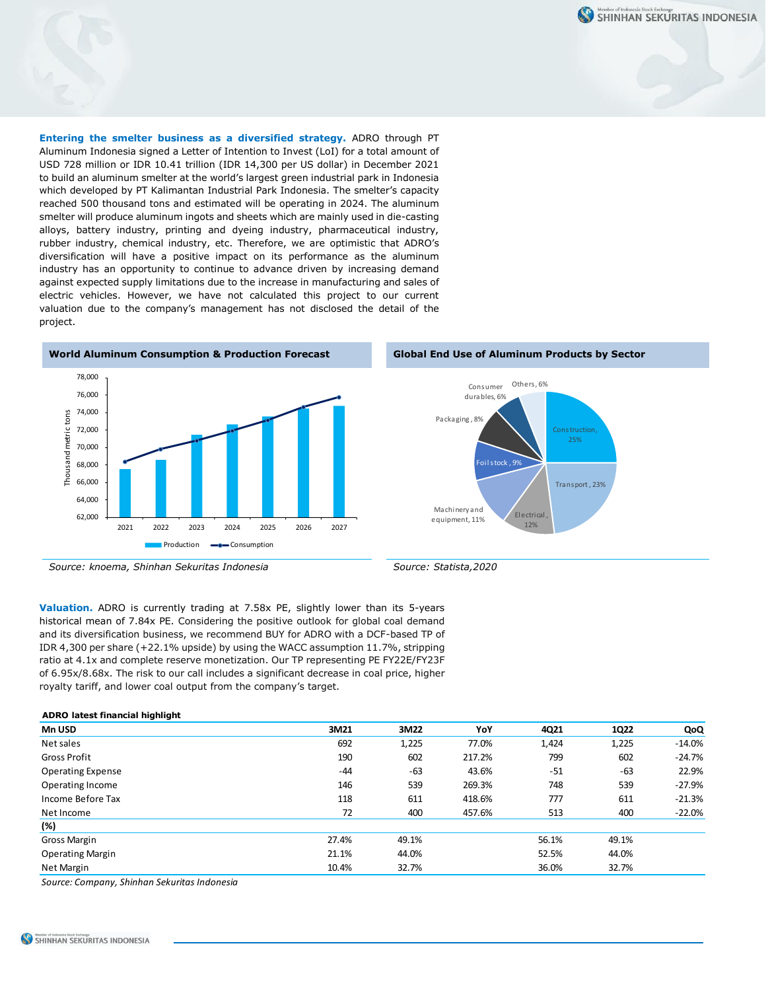SHINHAN SEKURITAS INDONESIA

**Entering the smelter business as a diversified strategy.** ADRO through PT Aluminum Indonesia signed a Letter of Intention to Invest (LoI) for a total amount of USD 728 million or IDR 10.41 trillion (IDR 14,300 per US dollar) in December 2021 to build an aluminum smelter at the world's largest green industrial park in Indonesia which developed by PT Kalimantan Industrial Park Indonesia. The smelter's capacity reached 500 thousand tons and estimated will be operating in 2024. The aluminum smelter will produce aluminum ingots and sheets which are mainly used in die-casting alloys, battery industry, printing and dyeing industry, pharmaceutical industry, rubber industry, chemical industry, etc. Therefore, we are optimistic that ADRO's diversification will have a positive impact on its performance as the aluminum industry has an opportunity to continue to advance driven by increasing demand against expected supply limitations due to the increase in manufacturing and sales of electric vehicles. However, we have not calculated this project to our current valuation due to the company's management has not disclosed the detail of the project.









**Valuation.** ADRO is currently trading at 7.58x PE, slightly lower than its 5-years historical mean of 7.84x PE. Considering the positive outlook for global coal demand and its diversification business, we recommend BUY for ADRO with a DCF-based TP of IDR 4,300 per share (+22.1% upside) by using the WACC assumption 11.7%, stripping ratio at 4.1x and complete reserve monetization. Our TP representing PE FY22E/FY23F of 6.95x/8.68x. The risk to our call includes a significant decrease in coal price, higher royalty tariff, and lower coal output from the company's target.

#### **ADRO latest financial highlight Mn USD 3M21 3M22 YoY 4Q21 1Q22 QoQ** Net sales 692 1,225 77.0% 1,424 1,225 -14.0% Gross Profit 190 602 217.2% 799 602 -24.7% Operating Expense 22.9% -44 -63 43.6% -51 -63 22.9% Operating Income 27.9% 116 146 539 269.3% 748 539 -27.9% Income Before Tax **118 118** 611 **418.6%** 777 611 **611** -21.3% Net Income 72 400 457.6% 513 400 -22.0% **(%)** Gross Margin 27.4% 49.1% 56.1% 49.1% Operating Margin 21.1% 44.0% 52.5% 44.0% Net Margin 10.4% 32.7% 32.7% 36.0% 32.7% 36.0% 32.7%

*Source: Company, Shinhan Sekuritas Indonesia*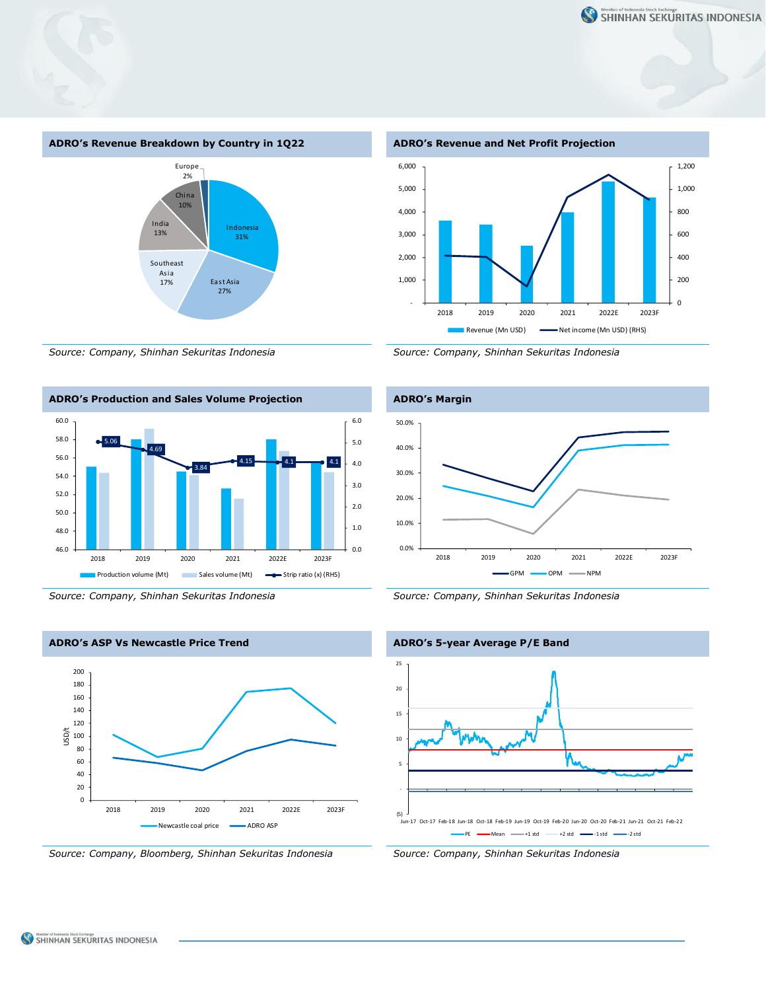

*Source: Company, Shinhan Sekuritas Indonesia Source: Company, Shinhan Sekuritas Indonesia*















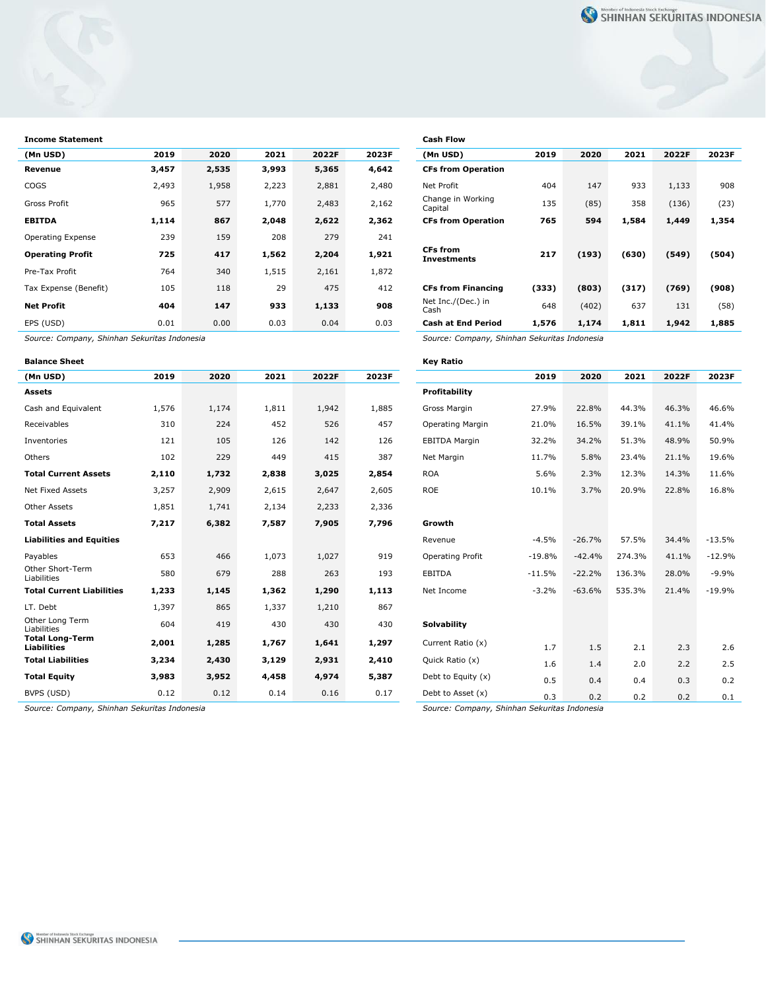| <b>Income Statement</b> |       |       |       |       |       | <b>Cash Flow</b>               |       |       |       |       |       |
|-------------------------|-------|-------|-------|-------|-------|--------------------------------|-------|-------|-------|-------|-------|
| (Mn USD)                | 2019  | 2020  | 2021  | 2022F | 2023F | (Mn USD)                       | 2019  | 2020  | 2021  | 2022F | 2023F |
| Revenue                 | 3,457 | 2,535 | 3,993 | 5,365 | 4,642 | <b>CFs from Operation</b>      |       |       |       |       |       |
| <b>COGS</b>             | 2,493 | 1,958 | 2,223 | 2,881 | 2,480 | Net Profit                     | 404   | 147   | 933   | 1,133 | 908   |
| Gross Profit            | 965   | 577   | 1,770 | 2,483 | 2,162 | Change in Working<br>Capital   | 135   | (85)  | 358   | (136) | (23)  |
| <b>EBITDA</b>           | 1,114 | 867   | 2,048 | 2,622 | 2,362 | <b>CFs from Operation</b>      | 765   | 594   | 1,584 | 1,449 | 1,354 |
| Operating Expense       | 239   | 159   | 208   | 279   | 241   |                                |       |       |       |       |       |
| <b>Operating Profit</b> | 725   | 417   | 1,562 | 2,204 | 1,921 | <b>CFs from</b><br>Investments | 217   | (193) | (630) | (549) | (504) |
| Pre-Tax Profit          | 764   | 340   | 1,515 | 2,161 | 1,872 |                                |       |       |       |       |       |
| Tax Expense (Benefit)   | 105   | 118   | 29    | 475   | 412   | <b>CFs from Financing</b>      | (333) | (803) | (317) | (769) | (908) |
| <b>Net Profit</b>       | 404   | 147   | 933   | 1,133 | 908   | Net Inc./(Dec.) in<br>Cash     | 648   | (402) | 637   | 131   | (58)  |
| EPS (USD)               | 0.01  | 0.00  | 0.03  | 0.04  | 0.03  | <b>Cash at End Period</b>      | 1,576 | 1,174 | 1,811 | 1,942 | 1,885 |

*Source: Company, Shinhan Sekuritas Indonesia Source: Company, Shinhan Sekuritas Indonesia*

| <b>Balance Sheet</b>                         |       |       |       |       |       | Key Ratio            |          |                |        |       |                |
|----------------------------------------------|-------|-------|-------|-------|-------|----------------------|----------|----------------|--------|-------|----------------|
| (Mn USD)                                     | 2019  | 2020  | 2021  | 2022F | 2023F |                      | 2019     | 2020           | 2021   | 2022F | 2023F          |
| <b>Assets</b>                                |       |       |       |       |       | <b>Profitability</b> |          |                |        |       |                |
| Cash and Equivalent                          | 1,576 | 1,174 | 1,811 | 1,942 | 1,885 | Gross Margin         | 27.9%    | 22.8%          | 44.3%  | 46.3% | 46.6%          |
| Receivables                                  | 310   | 224   | 452   | 526   | 457   | Operating Margin     | 21.0%    | 16.5%          | 39.1%  | 41.1% | 41.4%          |
| Inventories                                  | 121   | 105   | 126   | 142   | 126   | <b>EBITDA Margin</b> | 32.2%    | 34.2%          | 51.3%  | 48.9% | 50.9%          |
| Others                                       | 102   | 229   | 449   | 415   | 387   | Net Margin           | 11.7%    | 5.8%           | 23.4%  | 21.1% | 19.6%          |
| <b>Total Current Assets</b>                  | 2,110 | 1,732 | 2,838 | 3,025 | 2,854 | <b>ROA</b>           | 5.6%     | 2.3%           | 12.3%  | 14.3% | 11.6%          |
| Net Fixed Assets                             | 3,257 | 2,909 | 2,615 | 2,647 | 2,605 | <b>ROE</b>           | 10.1%    | 3.7%           | 20.9%  | 22.8% | 16.8%          |
| Other Assets                                 | 1,851 | 1,741 | 2,134 | 2,233 | 2,336 |                      |          |                |        |       |                |
| <b>Total Assets</b>                          | 7,217 | 6,382 | 7,587 | 7,905 | 7,796 | Growth               |          |                |        |       |                |
| <b>Liabilities and Equities</b>              |       |       |       |       |       | Revenue              | $-4.5%$  | $-26.7%$       | 57.5%  | 34.4% | $-13.5%$       |
| Payables                                     | 653   | 466   | 1,073 | 1,027 | 919   | Operating Profit     | $-19.8%$ | $-42.4%$       | 274.3% | 41.1% | $-12.9%$       |
| Other Short-Term<br>Liabilities              | 580   | 679   | 288   | 263   | 193   | <b>EBITDA</b>        | $-11.5%$ | $-22.2%$       | 136.3% | 28.0% | $-9.9%$        |
| <b>Total Current Liabilities</b>             | 1,233 | 1,145 | 1,362 | 1,290 | 1,113 | Net Income           | $-3.2%$  | $-63.6%$       | 535.3% | 21.4% | $-19.9%$       |
| LT. Debt                                     | 1,397 | 865   | 1,337 | 1,210 | 867   |                      |          |                |        |       |                |
| Other Long Term<br>Liabilities               | 604   | 419   | 430   | 430   | 430   | <b>Solvability</b>   |          |                |        |       |                |
| <b>Total Long-Term</b><br><b>Liabilities</b> | 2,001 | 1,285 | 1,767 | 1,641 | 1,297 | Current Ratio (x)    | 1.7      | 1.5            | 2.1    | 2.3   | 2.6            |
| <b>Total Liabilities</b>                     | 3,234 | 2,430 | 3,129 | 2,931 | 2,410 | Quick Ratio (x)      | 1.6      | 1.4            | 2.0    | 2.2   | 2.5            |
| <b>Total Equity</b>                          | 3,983 | 3,952 | 4,458 | 4,974 | 5,387 | Debt to Equity $(x)$ | 0.5      | 0.4            | 0.4    | 0.3   | 0.2            |
| BVPS (USD)                                   | 0.12  | 0.12  | 0.14  | 0.16  | 0.17  | Debt to Asset (x)    | n 3      | 0 <sub>2</sub> | 0 Z    | 0 2   | 0 <sub>1</sub> |

| <b>Cash Flow</b>                             |       |       |       |       |       |
|----------------------------------------------|-------|-------|-------|-------|-------|
| (Mn USD)                                     | 2019  | 2020  | 2021  | 2022F | 2023F |
| <b>CFs from Operation</b>                    |       |       |       |       |       |
| <b>Net Profit</b>                            | 404   | 147   | 933   | 1,133 | 908   |
| Change in Working<br>Capital                 | 135   | (85)  | 358   | (136) | (23)  |
| <b>CFs from Operation</b>                    | 765   | 594   | 1,584 | 1,449 | 1,354 |
|                                              |       |       |       |       |       |
| <b>CFs from</b><br><b>Investments</b>        | 217   | (193) | (630) | (549) | (504) |
|                                              |       |       |       |       |       |
| <b>CFs from Financing</b>                    | (333) | (803) | (317) | (769) | (908) |
| Net Inc./(Dec.) in<br>Cash                   | 648   | (402) | 637   | 131   | (58)  |
| <b>Cash at End Period</b>                    | 1,576 | 1,174 | 1,811 | 1,942 | 1,885 |
| Source: Company, Shinhan Sekuritas Indonesia |       |       |       |       |       |

| saance sneet                     |       |       |       |       | ncy nauv |                      |          |          |        |       |          |
|----------------------------------|-------|-------|-------|-------|----------|----------------------|----------|----------|--------|-------|----------|
| (Mn USD)                         | 2019  | 2020  | 2021  | 2022F | 2023F    |                      | 2019     | 2020     | 2021   | 2022F | 2023F    |
| Assets                           |       |       |       |       |          | Profitability        |          |          |        |       |          |
| Cash and Equivalent              | 1,576 | 1,174 | 1,811 | 1,942 | 1,885    | Gross Margin         | 27.9%    | 22.8%    | 44.3%  | 46.3% | 46.6%    |
| Receivables                      | 310   | 224   | 452   | 526   | 457      | Operating Margin     | 21.0%    | 16.5%    | 39.1%  | 41.1% | 41.4%    |
| Inventories                      | 121   | 105   | 126   | 142   | 126      | <b>EBITDA Margin</b> | 32.2%    | 34.2%    | 51.3%  | 48.9% | 50.9%    |
| Others                           | 102   | 229   | 449   | 415   | 387      | Net Margin           | 11.7%    | 5.8%     | 23.4%  | 21.1% | 19.6%    |
| <b>Total Current Assets</b>      | 2,110 | 1,732 | 2,838 | 3,025 | 2,854    | <b>ROA</b>           | 5.6%     | 2.3%     | 12.3%  | 14.3% | 11.6%    |
| Net Fixed Assets                 | 3,257 | 2,909 | 2,615 | 2,647 | 2,605    | <b>ROE</b>           | 10.1%    | 3.7%     | 20.9%  | 22.8% | 16.8%    |
| Other Assets                     | 1,851 | 1,741 | 2,134 | 2,233 | 2,336    |                      |          |          |        |       |          |
| <b>Total Assets</b>              | 7,217 | 6,382 | 7,587 | 7,905 | 7,796    | Growth               |          |          |        |       |          |
| <b>Liabilities and Equities</b>  |       |       |       |       |          | Revenue              | $-4.5%$  | $-26.7%$ | 57.5%  | 34.4% | $-13.5%$ |
| Payables                         | 653   | 466   | 1,073 | 1,027 | 919      | Operating Profit     | $-19.8%$ | $-42.4%$ | 274.3% | 41.1% | $-12.9%$ |
| Other Short-Term<br>Liabilities  | 580   | 679   | 288   | 263   | 193      | <b>EBITDA</b>        | $-11.5%$ | $-22.2%$ | 136.3% | 28.0% | $-9.9%$  |
| <b>Total Current Liabilities</b> | 1,233 | 1,145 | 1,362 | 1,290 | 1,113    | Net Income           | $-3.2%$  | $-63.6%$ | 535.3% | 21.4% | $-19.9%$ |
| LT. Debt                         | 1,397 | 865   | 1,337 | 1,210 | 867      |                      |          |          |        |       |          |
| Other Long Term<br>Liabilities   | 604   | 419   | 430   | 430   | 430      | <b>Solvability</b>   |          |          |        |       |          |
| Total Long-Term<br>Liabilities   | 2,001 | 1,285 | 1,767 | 1,641 | 1,297    | Current Ratio (x)    | 1.7      | 1.5      | 2.1    | 2.3   | 2.6      |
| <b>Total Liabilities</b>         | 3,234 | 2,430 | 3,129 | 2,931 | 2,410    | Quick Ratio (x)      | 1.6      | 1.4      | 2.0    | 2.2   | 2.5      |
| <b>Total Equity</b>              | 3,983 | 3,952 | 4,458 | 4,974 | 5,387    | Debt to Equity (x)   | 0.5      | 0.4      | 0.4    | 0.3   | 0.2      |
| BVPS (USD)                       | 0.12  | 0.12  | 0.14  | 0.16  | 0.17     | Debt to Asset (x)    | 0.3      | 0.2      | 0.2    | 0.2   | 0.1      |

*Source: Company, Shinhan Sekuritas Indonesia Source: Company, Shinhan Sekuritas Indonesia*